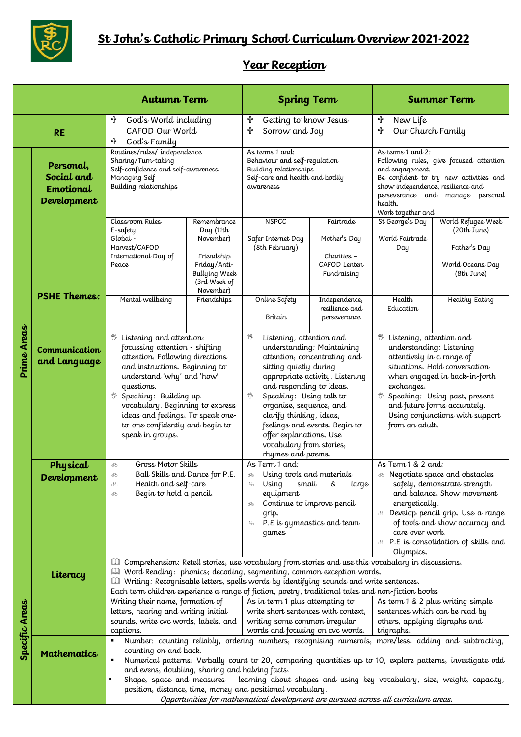

## **Year Reception**

|                |                                                     | <b>Autumn Term</b>                                                                                                                                                                                                                                                                                                                                                                                                                                                                                                                                               |                                                                                                                                         | <b>Spring Term</b>                                                                                                                                                                                                                                                                                                                                                                       |                                                                                                                            | <b>Summer Term</b>                                                                                                                                                                                                                                                                                                  |                                                                                                              |
|----------------|-----------------------------------------------------|------------------------------------------------------------------------------------------------------------------------------------------------------------------------------------------------------------------------------------------------------------------------------------------------------------------------------------------------------------------------------------------------------------------------------------------------------------------------------------------------------------------------------------------------------------------|-----------------------------------------------------------------------------------------------------------------------------------------|------------------------------------------------------------------------------------------------------------------------------------------------------------------------------------------------------------------------------------------------------------------------------------------------------------------------------------------------------------------------------------------|----------------------------------------------------------------------------------------------------------------------------|---------------------------------------------------------------------------------------------------------------------------------------------------------------------------------------------------------------------------------------------------------------------------------------------------------------------|--------------------------------------------------------------------------------------------------------------|
| <b>RE</b>      |                                                     | God's World including<br>유<br>CAFOD Our World<br>God's Family<br>╬                                                                                                                                                                                                                                                                                                                                                                                                                                                                                               |                                                                                                                                         | 유<br>Getting to know Jesus<br>╬<br>Sorrow and Joy                                                                                                                                                                                                                                                                                                                                        |                                                                                                                            | New Life<br>╬<br>╬<br>Our Church Family                                                                                                                                                                                                                                                                             |                                                                                                              |
| Prime Areas    | Personal,<br>Social and<br>Emotional<br>Development | Routines/rules/independence<br>Sharing/Turn-taking<br>Self-confidence and self-awareness<br>Managing Self<br>Building relationships                                                                                                                                                                                                                                                                                                                                                                                                                              |                                                                                                                                         | As terms 1 and:<br>Behaviour and self-regulation<br>Building relationships<br>Self-care and health and bodily<br>awareness                                                                                                                                                                                                                                                               |                                                                                                                            | As terms 1 and 2:<br>Following rules, give focused attention<br>and engagement.<br>Be confident to try new activities and<br>show independence, resilience and<br>perseverance and manage personal<br>health.<br>Work together and                                                                                  |                                                                                                              |
|                | <b>PSHE Themes:</b>                                 | Classroom Rules<br>E-safety<br>Global -<br>Harvest/CAFOD<br>International Day of<br>Peace<br>Mental wellbeing                                                                                                                                                                                                                                                                                                                                                                                                                                                    | Remembrance<br>Day (11th<br>November)<br>Friendship<br>Friday/Anti-<br><b>Bullying Week</b><br>(3rd Week of<br>November)<br>Friendships | <b>NSPCC</b><br>Safer Internet Day<br>(8th February)<br>Online Safety<br>Britain                                                                                                                                                                                                                                                                                                         | Fairtrade<br>Mother's Day<br>Charities -<br>CAFOD Lenten<br>Fundraising<br>Independence,<br>resilience and<br>perseverance | St George's Day<br>World Fairtrade<br>Day<br>Health<br>Education                                                                                                                                                                                                                                                    | World Refugee Week<br>(20th June)<br>Father's Day<br>World Oceans Day<br>(8th June)<br><b>Healthy Eating</b> |
|                | Communication<br>and Language                       | Listening and attention:<br>₩<br>focussing attention - shifting<br>attention. Following directions<br>and instructions. Beginning to<br>understand 'why' and 'how'<br>questions.<br>Speaking: Building up<br>₹<br>vocabulary. Beginning to express<br>ideas and feelings. To speak one-<br>to-one confidently and begin to<br>speak in groups.                                                                                                                                                                                                                   |                                                                                                                                         | 愕<br>Listening, attention and<br>understanding: Maintaining<br>attention, concentrating and<br>sitting quietly during<br>appropriate activity. Listening<br>and responding to ideas.<br>Speaking: Using talk to<br>organise, sequence, and<br>clarify thinking, ideas,<br>feelings and events. Begin to<br>offer explanations. Use<br>vocabulary from stories,<br>rhymes and poems.      |                                                                                                                            | Listening, attention and<br>₩<br>understanding: Listening<br>attentively in a range of<br>situations. Hold conversation<br>when engaged in back-in-forth<br>exchanges.<br>Speaking: Using past, present<br>and future forms accurately.<br>Using conjunctions with support<br>from an adult.                        |                                                                                                              |
|                | Physical<br>Development                             | Gross Motor Skills<br>ðъ<br>Ball Skills and Dance for P.E<br>ക്ക<br>Health and self-care<br>ðб<br>Begin to hold a pencil.<br>ďФ                                                                                                                                                                                                                                                                                                                                                                                                                                  |                                                                                                                                         | As Term 1 and:<br>Using tools and materials<br>&<br>small<br>large<br>Using<br>equipment<br>Continue to improve pencil<br>grip.<br>P.E is gymnastics and team<br>qames                                                                                                                                                                                                                   |                                                                                                                            | As Term 1 & 2 and:<br><b>க</b> Negotiate space and obstacles<br>safely, demonstrate strength<br>and balance. Show movement<br>energetically.<br><sup>36</sup> Develop pencil grip. Use a range<br>of tools and show accuracy and<br>care over work.<br><b>&amp; P.E</b> is consolidation of skills and<br>Olympics. |                                                                                                              |
| Specific Areas | Literacy                                            |                                                                                                                                                                                                                                                                                                                                                                                                                                                                                                                                                                  |                                                                                                                                         | <b>Quality Comprehension:</b> Retell stories, use vocabulary from stories and use this vocabulary in discussions.<br>Word Reading: phonics; decoding, segmenting, common exception words.<br>Writing: Recognisable letters, spells words by identifying sounds and write sentences.<br>Each term children experience a range of fiction, poetry, traditional tales and non-fiction books |                                                                                                                            |                                                                                                                                                                                                                                                                                                                     |                                                                                                              |
|                |                                                     | Writing their name, formation of<br>letters, hearing and writing initial<br>sounds, write cvc words, labels, and<br>captions.                                                                                                                                                                                                                                                                                                                                                                                                                                    |                                                                                                                                         | As in term 1 plus attempting to<br>write short sentences with context,<br>writing some common irregular<br>words and focusing on cvc words.                                                                                                                                                                                                                                              |                                                                                                                            | sentences which can be read by<br>others, applying digraphs and<br>trigraphs.                                                                                                                                                                                                                                       | As term 1 & 2 plus writing simple                                                                            |
|                | <b>Mathematics</b>                                  | Number: counting reliably, ordering numbers, recognising numerals, more/less, adding and subtracting,<br>counting on and back.<br>Numerical patterns: Verbally count to 20, comparing quantities up to 10, explore patterns, investigate odd<br>and evens, doubling, sharing and halving facts.<br>Shape, space and measures - learning about shapes and using key vocabulary, size, weight, capacity,<br>٠<br>position, distance, time, money and positional vocabulary.<br>Opportunities for mathematical development are pursued across all curriculum areas. |                                                                                                                                         |                                                                                                                                                                                                                                                                                                                                                                                          |                                                                                                                            |                                                                                                                                                                                                                                                                                                                     |                                                                                                              |